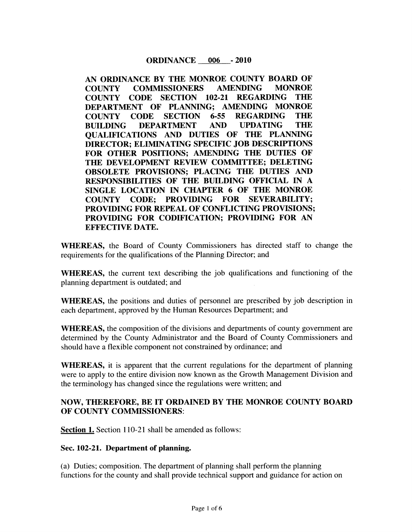### **ORDINANCE** 006 - 2010

AN ORDINANCE BY THE MONROE COUNTY BOARD OF COUNTY COMMISSIONERS AMENDING MONROE COUNTY CODE SECTION 102 21 REGARDING THE DEPARTMENT OF PLANNING: AMENDING MONROE COUNTY CODE SECTION 6-55 REGARDING THE<br>BUILDING DEPARTMENT AND UPDATING THE BUILDING DEPARTMENT AND QUALIFICATIONS AND DUTIES OF THE PLANNING DIRECTOR: ELIMINATING SPECIFIC JOB DESCRIPTIONS FOR OTHER POSITIONS; AMENDING THE DUTIES OF THE DEVELOPMENT REVIEW COMMITTEE; DELETING OBSOLETE PROVISIONS; PLACING THE DUTIES AND RESPONSIBILITIES OF THE BUILDING OFFICIAL IN A SINGLE LOCATION IN CHAPTER 6 OF THE MONROE<br>COUNTY CODE; PROVIDING FOR SEVERABILITY; COUNTY CODE: PROVIDING FOR SEVERABILITY; PROVIDING FOR REPEAL OF CONFLICTING PROVISIONS PROVIDING FOR CODIFICATION; PROVIDING FOR AN EFFECTIVE DATE

WHEREAS, the Board of County Commissioners has directed staff to change the requirements for the qualifications of the Planning Director; and

WHEREAS, the current text describing the job qualifications and functioning of the planning department is outdated; and

WHEREAS, the positions and duties of personnel are prescribed by job description in each department, approved by the Human Resources Department; and

WHEREAS, the composition of the divisions and departments of county government are determined by the County Administrator and the Board of County Commissioners and should have a flexible component not constrained by ordinance; and

WHEREAS, it is apparent that the current regulations for the department of planning were to apply to the entire division now known as the Growth Management Division and the terminology has changed since the regulations were written; and

### NOW. THEREFORE, BE IT ORDAINED BY THE MONROE COUNTY BOARD OF COUNTY COMMISSIONERS

Section 1. Section 110-21 shall be amended as follows:

#### Sec. 102-21. Department of planning.

(a) Duties; composition. The department of planning shall perform the planning functions for the county and shall provide technical support and guidance for action on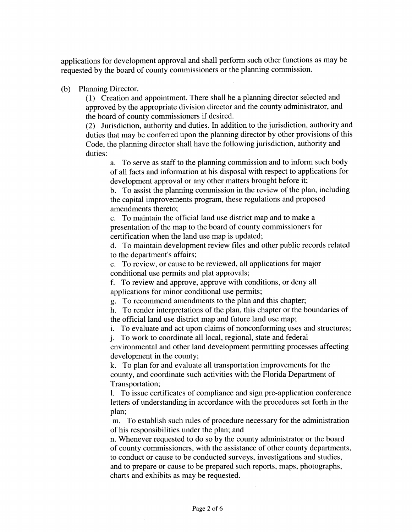applications for development approval and shall perform such other functions as may be requested by the board of county commissioners or the planning commission

(b) Planning Director.

(1) Creation and appointment. There shall be a planning director selected and approved by the appropriate division director and the county administrator, and the board of county commissioners if desired

(2) Jurisdiction, authority and duties. In addition to the jurisdiction, authority and duties that may be conferred upon the planning director by other provisions of this Code, the planning director shall have the following jurisdiction, authority and duties:

a. To serve as staff to the planning commission and to inform such body of all facts and information at his disposal with respect to applications for development approval or any other matters brought before it

b. To assist the planning commission in the review of the plan, including the capital improvements program, these regulations and proposed amendments thereto

c. To maintain the official land use district map and to make a presentation of the map to the board of county commissioners for certification when the land use map is updated

d. To maintain development review files and other public records related to the department's affairs;

e. To review, or cause to be reviewed, all applications for major conditional use permits and plat approvals

f. To review and approve, approve with conditions, or deny all applications for minor conditional use permits

g To recommend amendments to the plan and this chapter

h. To render interpretations of the plan, this chapter or the boundaries of the official land use district map and future land use map

i. To evaluate and act upon claims of nonconforming uses and structures;

j To work to coordinate all local regional state and federal

environmental and other land development permitting processes affecting development in the county

k. To plan for and evaluate all transportation improvements for the county, and coordinate such activities with the Florida Department of Transportation

1. To issue certificates of compliance and sign pre-application conference letters of understanding in accordance with the procedures set forth in the plan:

m. To establish such rules of procedure necessary for the administration of his responsibilities under the plan; and

n. Whenever requested to do so by the county administrator or the board of county commissioners, with the assistance of other county departments, to conduct or cause to be conducted surveys, investigations and studies, and to prepare or cause to be prepared such reports, maps, photographs, charts and exhibits as may be requested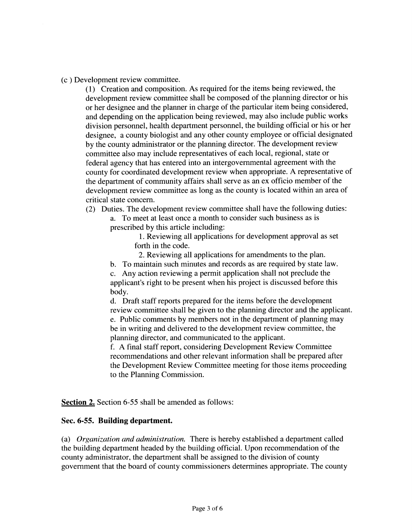<sup>c</sup> Development review committee

<sup>1</sup> Creation and composition As required for the items being reviewed the development review committee shall be composed of the planning director or his or her designee and the planner in charge of the particular item being considered and depending on the application being reviewed, may also include public works division personnel, health department personnel, the building official or his or her designee, a county biologist and any other county employee or official designated by the county administrator or the planning director The development review committee also may include representatives of each local, regional, state or federal agency that has entered into an intergovernmental agreement with the county for coordinated development review when appropriate A representative of the department of community affairs shall serve as an ex officio member of the development review committee as long as the county is located within an area of critical state concern

(2) Duties. The development review committee shall have the following duties:

a. To meet at least once a month to consider such business as is prescribed by this article including

> <sup>1</sup> Reviewing all applications for development approval as set forth in the code

2. Reviewing all applications for amendments to the plan.

b. To maintain such minutes and records as are required by state law.

c Any action reviewing <sup>a</sup> permit application shall not preclude the applicant's right to be present when his project is discussed before this body

d. Draft staff reports prepared for the items before the development review committee shall be given to the planning director and the applicant e. Public comments by members not in the department of planning may be in writing and delivered to the development review committee, the planning director, and communicated to the applicant.

f. A final staff report, considering Development Review Committee recommendations and other relevant information shall be prepared after the Development Review Committee meeting for those items proceeding to the Planning Commission

Section 2. Section 6-55 shall be amended as follows:

### Sec. 6-55. Building department.

(a) Organization and administration. There is hereby established a department called the building department headed by the building official. Upon recommendation of the county administrator, the department shall be assigned to the division of county government that the board of county commissioners determines appropriate The county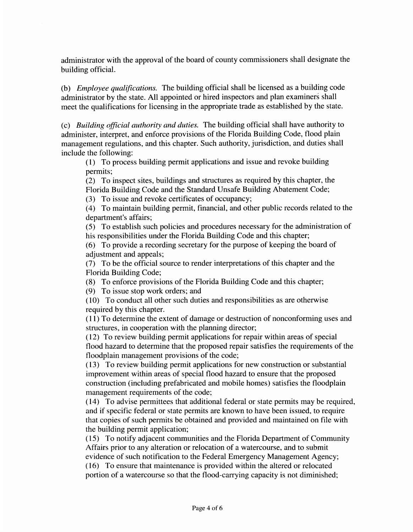administrator with the approval of the board of county commissioners shall designate the building official

(b) *Employee qualifications*. The building official shall be licensed as a building code administrator by the state All appointed or hired inspectors and plan examiners shall meet the qualifications for licensing in the appropriate trade as established by the state

 $(c)$  Building official authority and duties. The building official shall have authority to administer, interpret, and enforce provisions of the Florida Building Code, flood plain management regulations, and this chapter. Such authority, jurisdiction, and duties shall include the following

<sup>1</sup> To process building permit applications and issue and revoke building permits;

(2) To inspect sites, buildings and structures as required by this chapter, the Florida Building Code and the Standard Unsafe Building Abatement Code

(3) To issue and revoke certificates of occupancy;

4 To maintain building permit financial and other public records related to the department's affairs;

<sup>5</sup> To establish such policies and procedures necessary for the administration of his responsibilities under the Florida Building Code and this chapter

6 To provide <sup>a</sup> recording secretary for the purpose of keeping the board of adjustment and appeals

<sup>7</sup> To be the official source to render interpretations of this chapter and the Florida Building Code

(8) To enforce provisions of the Florida Building Code and this chapter;

 $(9)$  To issue stop work orders; and

<sup>10</sup> To conduct all other such duties and responsibilities as are otherwise required by this chapter

<sup>11</sup> To determine the extent of damage or destruction of nonconforming uses and structures, in cooperation with the planning director;

<sup>12</sup> To review building permit applications for repair within areas of special flood hazard to determine that the proposed repair satisfies the requirements of the floodplain management provisions of the code

<sup>13</sup> To review building permit applications for new construction or substantial improvement within areas of special flood hazard to ensure that the proposed construction (including prefabricated and mobile homes) satisfies the floodplain management requirements of the code;

<sup>14</sup> To advise permittees that additional federal or state permits may be required and if specific federal or state permits are known to have been issued, to require that copies of such permits be obtained and provided and maintained on file with the building permit application

<sup>15</sup> To notify adjacent communities and the Florida Department of Community Affairs prior to any alteration or relocation of a watercourse, and to submit evidence of such notification to the Federal Emergency Management Agency

<sup>16</sup> To ensure that maintenance is provided within the altered or relocated portion of a watercourse so that the flood-carrying capacity is not diminished;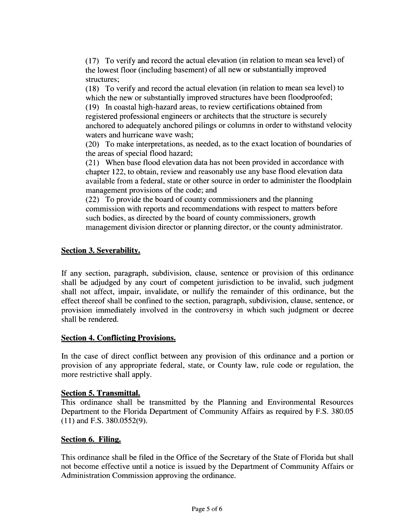(17) To verify and record the actual elevation (in relation to mean sea level) of the lowest floor (including basement) of all new or substantially improved structures;

(18) To verify and record the actual elevation (in relation to mean sea level) to which the new or substantially improved structures have been floodproofed; (19) In coastal high-hazard areas, to review certifications obtained from

registered professional engineers or architects that the structure is securely anchored to adequately anchored pilings or columns in order to withstand velocity waters and hurricane wave wash;

(20) To make interpretations, as needed, as to the exact location of boundaries of the areas of special flood hazard;

(21) When base flood elevation data has not been provided in accordance with chapter 122, to obtain, review and reasonably use any base flood elevation data available from a federal, state or other source in order to administer the floodplain management provisions of the code; and

(22) To provide the board of county commissioners and the planning commission with reports and recommendations with respect to matters before such bodies, as directed by the board of county commissioners, growth management division director or planning director, or the county administrator.

# **Section 3. Severability.**

If any section, paragraph, subdivision, clause, sentence or provision of this ordinance shall be adjudged by any court of competent jurisdiction to be invalid, such judgment shall not affect, impair, invalidate, or nullify the remainder of this ordinance, but the effect thereof shall be confined to the section, paragraph, subdivision, clause, sentence, or provision immediately involved in the controversy in which such judgment or decree shall be rendered.

### **Section 4. Conflicting Provisions.**

In the case of direct conflict between any provision of this ordinance and a portion or provision of any appropriate federal, state, or County law, rule code or regulation, the more restrictive shall apply.

## **Section 5. Transmittal.**

This ordinance shall be transmitted by the Planning and Environmental Resources Department to the Florida Department of Community Affairs as required by F.S. 380.05  $(11)$  and F.S. 380.0552(9).

## Section 6. Filing.

This ordinance shall be filed in the Office of the Secretary of the State of Florida but shall not become effective until a notice is issued by the Department of Community Affairs or Administration Commission approving the ordinance.